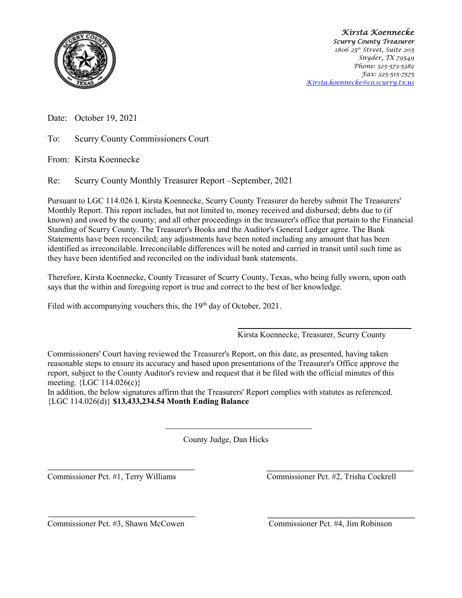

Kirsta Koennecke Scurry County Treasurer 1806 25<sup>th</sup> Street, Suite 205 Snyder, TX 79549 Phone: 325-573-5382 Fax: 325-515-7575 Kirsta.koennecke@co.scurry.tx.us

Date: October 19, 2021

To: Scurry County Commissioners Court

From: Kirsta Koennecke

Re: Scurry County Monthly Treasurer Report –September, 2021

Pursuant to LGC 114.026 I, Kirsta Koennecke, Scurry County Treasurer do hereby submit The Treasurers' Monthly Report. This report includes, but not limited to, money received and disbursed; debts due to (if known) and owed by the county; and all other proceedings in the treasurer's office that pertain to the Financial Standing of Scurry County. The Treasurer's Books and the Auditor's General Ledger agree. The Bank Statements have been reconciled; any adjustments have been noted including any amount that has been identified as irreconcilable. Irreconcilable differences will be noted and carried in transit until such time as they have been identified and reconciled on the individual bank statements.

Therefore, Kirsta Koennecke, County Treasurer of Scurry County, Texas, who being fully sworn, upon oath says that the within and foregoing report is true and correct to the best of her knowledge.

Filed with accompanying vouchers this, the 19<sup>th</sup> day of October, 2021.

Kirsta Koennecke, Treasurer, Scurry County

Commissioners' Court having reviewed the Treasurer's Report, on this date, as presented, having taken reasonable steps to ensure its accuracy and based upon presentations of the Treasurer's Office approve the report, subject to the County Auditor's review and request that it be filed with the official minutes of this meeting. {LGC 114.026(c)}

In addition, the below signatures affirm that the Treasurers' Report complies with statutes as referenced. {LGC 114.026(d)} \$13,433,234.54 Month Ending Balance

County Judge, Dan Hicks

Commissioner Pct. #1, Terry Williams Commissioner Pct. #2, Trisha Cockrell

Commissioner Pct. #3, Shawn McCowen Commissioner Pct. #4, Jim Robinson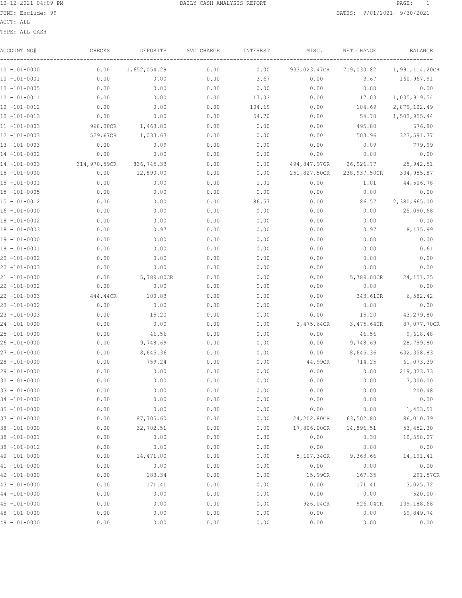ACCT: ALL

| ACCOUNT NO#       | CHECKS       | DEPOSITS     | SVC CHARGE | INTEREST | MISC.        | NET CHANGE   | BALANCE        |
|-------------------|--------------|--------------|------------|----------|--------------|--------------|----------------|
| 10 -101-0000      | 0.00         | 1,652,054.29 | 0.00       | 0.00     | 933,023.47CR | 719,030.82   | 1,991,114.20CR |
| $10 - 101 - 0001$ | 0.00         | 0.00         | 0.00       | 3.67     | 0.00         | 3.67         | 160,967.91     |
| $10 - 101 - 0005$ | 0.00         | 0.00         | 0.00       | 0.00     | 0.00         | 0.00         | 0.00           |
| $10 - 101 - 0011$ | 0.00         | 0.00         | 0.00       | 17.03    | 0.00         | 17.03        | 1,035,919.54   |
| $10 - 101 - 0012$ | 0.00         | 0.00         | 0.00       | 104.69   | 0.00         | 104.69       | 2,879,102.49   |
| $10 - 101 - 0013$ | 0.00         | 0.00         | 0.00       | 54.70    | 0.00         | 54.70        | 1,503,955.44   |
| $11 - 101 - 0003$ | 968.00CR     | 1,463.80     | 0.00       | 0.00     | 0.00         | 495.80       | 676.80         |
| $12 - 101 - 0003$ | 529.67CR     | 1,033.63     | 0.00       | 0.00     | 0.00         | 503.96       | 323,591.77     |
| 13 -101-0003      | 0.00         | 0.09         | 0.00       | 0.00     | 0.00         | 0.09         | 779.99         |
| 14 -101-0002      | 0.00         | 0.00         | 0.00       | 0.00     | 0.00         | 0.00         | 0.00           |
| 14 -101-0003      | 314,970.59CR | 836,745.33   | 0.00       | 0.00     | 494,847.97CR | 26,926.77    | 25,942.51      |
| 15 -101-0000      | 0.00         | 12,890.00    | 0.00       | 0.00     | 251,827.50CR | 238,937.50CR | 334, 955.87    |
| 15 -101-0001      | 0.00         | 0.00         | 0.00       | 1.01     | 0.00         | 1.01         | 44,506.78      |
| $15 - 101 - 0005$ | 0.00         | 0.00         | 0.00       | 0.00     | 0.00         | 0.00         | 0.00           |
| $15 - 101 - 0012$ | 0.00         | 0.00         | 0.00       | 86.57    | 0.00         | 86.57        | 2,380,665.00   |
| 16 -101-0000      | 0.00         | 0.00         | 0.00       | 0.00     | 0.00         | 0.00         | 25,090.68      |
| 18 -101-0002      | 0.00         | 0.00         | 0.00       | 0.00     | 0.00         | 0.00         | 0.00           |
| 18 -101-0003      | 0.00         | 0.97         | 0.00       | 0.00     | 0.00         | 0.97         | 8,135.99       |
| $19 - 101 - 0000$ | 0.00         | 0.00         | 0.00       | 0.00     | 0.00         | 0.00         | 0.00           |
| 19 -101-0001      | 0.00         | 0.00         | 0.00       | 0.00     | 0.00         | 0.00         | 0.61           |
| $20 - 101 - 0002$ | 0.00         | 0.00         | 0.00       | 0.00     | 0.00         | 0.00         | 0.00           |
| $20 - 101 - 0003$ | 0.00         | 0.00         | 0.00       | 0.00     | 0.00         | 0.00         | 0.00           |
| 21 -101-0000      | 0.00         | 5,789.00CR   | 0.00       | 0.00     | 0.00         | 5,789.00CR   | 24, 151. 25    |
| 22 -101-0002      | 0.00         | 0.00         | 0.00       | 0.00     | 0.00         | 0.00         | 0.00           |
| $22 - 101 - 0003$ | 444.44CR     | 100.83       | 0.00       | 0.00     | 0.00         | 343.61CR     | 6,582.42       |
| $23 - 101 - 0002$ | 0.00         | 0.00         | 0.00       | 0.00     | 0.00         | 0.00         | 0.00           |
| $23 - 101 - 0003$ | 0.00         | 15.20        | 0.00       | 0.00     | 0.00         | 15.20        | 43,279.80      |
| 24 -101-0000      | 0.00         | 0.00         | 0.00       | 0.00     | 3,475.64CR   | 3,475.64CR   | 87,077.70CR    |
| 25 -101-0000      | 0.00         | 46.56        | 0.00       | 0.00     | 0.00         | 46.56        | 9,618.48       |
| 26 -101-0000      | 0.00         | 9,748.69     | 0.00       | 0.00     | 0.00         | 9,748.69     | 28,799.80      |
| $27 - 101 - 0000$ | 0.00         | 8,645.36     | 0.00       | 0.00     | 0.00         | 8,645.36     | 632, 358.83    |
| 28 -101-0000      | 0.00         | 759.24       | 0.00       | 0.00     | 44.99CR      | 714.25       | 61,073.39      |
| $29 - 101 - 0000$ | 0.00         | 0.00         | 0.00       | 0.00     | 0.00         | 0.00         | 219, 323.73    |
| $30 - 101 - 0000$ | 0.00         | 0.00         | 0.00       | 0.00     | 0.00         | 0.00         | 7,300.00       |
| 33 -101-0000      | 0.00         | 0.00         | 0.00       | 0.00     | 0.00         | 0.00         | 200.48         |
| 34 -101-0000      | 0.00         | 0.00         | 0.00       | 0.00     | 0.00         | 0.00         | 0.00           |
| $35 - 101 - 0000$ | 0.00         | 0.00         | 0.00       | 0.00     | 0.00         | 0.00         | 1,453.51       |
| $37 - 101 - 0000$ | 0.00         | 87,705.60    | 0.00       | 0.00     | 24,202.80CR  | 63,502.80    | 86,010.79      |
| $38 - 101 - 0000$ | 0.00         | 32,702.51    | 0.00       | 0.00     | 17,806.00CR  | 14,896.51    | 53, 452.30     |
| 38 -101-0001      | 0.00         | 0.00         | 0.00       | 0.30     | 0.00         | 0.30         | 10,558.07      |
| $38 - 101 - 0012$ | 0.00         | 0.00         | 0.00       | 0.00     | 0.00         | 0.00         | 0.00           |
| $40 - 101 - 0000$ | 0.00         | 14, 471.00   | 0.00       | 0.00     | 5,107.34CR   | 9,363.66     | 14,191.41      |
| $41 - 101 - 0000$ | 0.00         | 0.00         | 0.00       | 0.00     | 0.00         | 0.00         | 0.00           |
| $42 - 101 - 0000$ | 0.00         | 183.34       | 0.00       | 0.00     | 15.99CR      | 167.35       | 291.57CR       |
| $43 - 101 - 0000$ | 0.00         | 171.41       | 0.00       | 0.00     | 0.00         | 171.41       | 3,025.72       |
| $44 - 101 - 0000$ | 0.00         | 0.00         | 0.00       | 0.00     | 0.00         | 0.00         | 520.00         |
| $45 - 101 - 0000$ | 0.00         | 0.00         | 0.00       | 0.00     | 926.04CR     | 926.04CR     | 139,188.68     |
| 48 -101-0000      | 0.00         | 0.00         | 0.00       | 0.00     | 0.00         | 0.00         | 69,849.74      |
| 49 -101-0000      | 0.00         | 0.00         | 0.00       | 0.00     | 0.00         | 0.00         | 0.00           |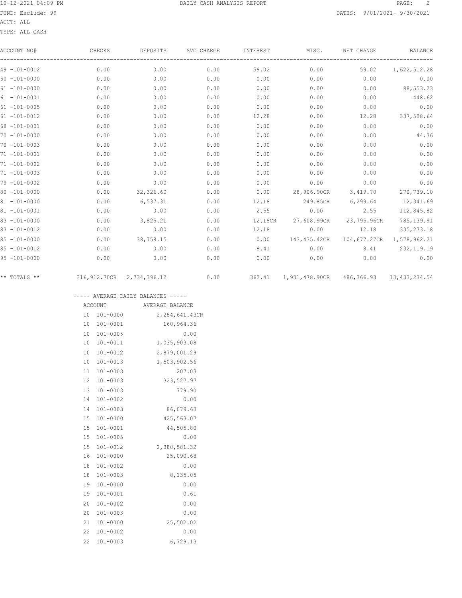### ACCT: ALL

TYPE: ALL CASH

| ACCOUNT NO#       | CHECKS                         | DEPOSITS  | SVC CHARGE | INTEREST | MISC.                                   | NET CHANGE                               | <b>BALANCE</b>     |
|-------------------|--------------------------------|-----------|------------|----------|-----------------------------------------|------------------------------------------|--------------------|
| $49 - 101 - 0012$ | 0.00                           | 0.00      | 0.00       | 59.02    | 0.00                                    | 59.02                                    | 1,622,512.28       |
| $50 - 101 - 0000$ | 0.00                           | 0.00      | 0.00       | 0.00     | 0.00                                    | 0.00                                     | 0.00               |
| $61 - 101 - 0000$ | 0.00                           | 0.00      | 0.00       | 0.00     | 0.00                                    | 0.00                                     | 88, 553.23         |
| $61 - 101 - 0001$ | 0.00                           | 0.00      | 0.00       | 0.00     | 0.00                                    | 0.00                                     | 448.62             |
| $61 - 101 - 0005$ | 0.00                           | 0.00      | 0.00       | 0.00     | 0.00                                    | 0.00                                     | 0.00               |
| $61 - 101 - 0012$ | 0.00                           | 0.00      | 0.00       | 12.28    | 0.00                                    | 12.28                                    | 337,508.64         |
| $68 - 101 - 0001$ | 0.00                           | 0.00      | 0.00       | 0.00     | 0.00                                    | 0.00                                     | 0.00               |
| $70 - 101 - 0000$ | 0.00                           | 0.00      | 0.00       | 0.00     | 0.00                                    | 0.00                                     | 44.36              |
| $70 - 101 - 0003$ | 0.00                           | 0.00      | 0.00       | 0.00     | 0.00                                    | 0.00                                     | 0.00               |
| $71 - 101 - 0001$ | 0.00                           | 0.00      | 0.00       | 0.00     | 0.00                                    | 0.00                                     | 0.00               |
| $71 - 101 - 0002$ | 0.00                           | 0.00      | 0.00       | 0.00     | 0.00                                    | 0.00                                     | 0.00               |
| 71 -101-0003      | 0.00                           | 0.00      | 0.00       | 0.00     | 0.00                                    | 0.00                                     | 0.00               |
| $79 - 101 - 0002$ | 0.00                           | 0.00      | 0.00       | 0.00     | 0.00                                    | 0.00                                     | 0.00               |
| $80 - 101 - 0000$ | 0.00                           | 32,326.60 | 0.00       | 0.00     | 28,906.90CR                             | 3,419.70                                 | 270,739.10         |
| $81 - 101 - 0000$ | 0.00                           | 6,537.31  | 0.00       | 12.18    | 249.85CR                                |                                          | 6,299.64 12,341.69 |
| $81 - 101 - 0001$ | 0.00                           | 0.00      | 0.00       | 2.55     | 0.00                                    | 2.55                                     | 112,845.82         |
| $83 - 101 - 0000$ | 0.00                           | 3,825.21  | 0.00       | 12.18CR  | 27,608.99CR                             | 23,795.96CR                              | 785,139.91         |
| $83 - 101 - 0012$ | 0.00                           | 0.00      | 0.00       | 12.18    | 0.00                                    | 12.18                                    | 335, 273. 18       |
| $85 - 101 - 0000$ | 0.00                           | 38,758.15 | 0.00       | 0.00     |                                         | 143,435.42CR  104,677.27CR  1,578,962.21 |                    |
| $85 - 101 - 0012$ | 0.00                           | 0.00      | 0.00       | 8.41     | 0.00                                    |                                          | 8.41 232,119.19    |
| $95 - 101 - 0000$ | 0.00                           | 0.00      | 0.00       | 0.00     | 0.00                                    | 0.00                                     | 0.00               |
| ** TOTALS **      | 316, 912. 70CR 2, 734, 396. 12 |           | 0.00       | 362.41   | 1,931,478.90CR 486,366.93 13,433,234.54 |                                          |                    |

----- AVERAGE DAILY BALANCES -----

|    | ACCOUNT      | AVERAGE BALANCE |
|----|--------------|-----------------|
| 10 | 101-0000     | 2,284,641.43CR  |
| 10 | 101-0001     | 160,964.36      |
| 10 | $101 - 0005$ | 0.00            |
| 10 | 101-0011     | 1,035,903.08    |
| 10 | 101-0012     | 2,879,001.29    |
| 10 | $101 - 0013$ | 1,503,902.56    |
| 11 | $101 - 0003$ | 207.03          |
| 12 | 101-0003     | 323, 527.97     |
| 13 | $101 - 0003$ | 779.90          |
| 14 | $101 - 0002$ | 0.00            |
| 14 | $101 - 0003$ | 86,079.63       |
| 15 | 101-0000     | 425,563.07      |
| 15 | 101-0001     | 44,505.80       |
| 15 | 101-0005     | 0.00            |
| 15 | 101-0012     | 2,380,581.32    |
| 16 | 101-0000     | 25,090.68       |
| 18 | $101 - 0002$ | 0.00            |
| 18 | 101-0003     | 8,135.05        |
| 19 | $101 - 0000$ | 0.00            |
| 19 | 101-0001     | 0.61            |
| 20 | $101 - 0002$ | 0.00            |
| 20 | $101 - 0003$ | 0.00            |
| 21 | $101 - 0000$ | 25,502.02       |
| 22 | $101 - 0002$ | 0.00            |
| 22 | $101 - 0003$ | 6,729.13        |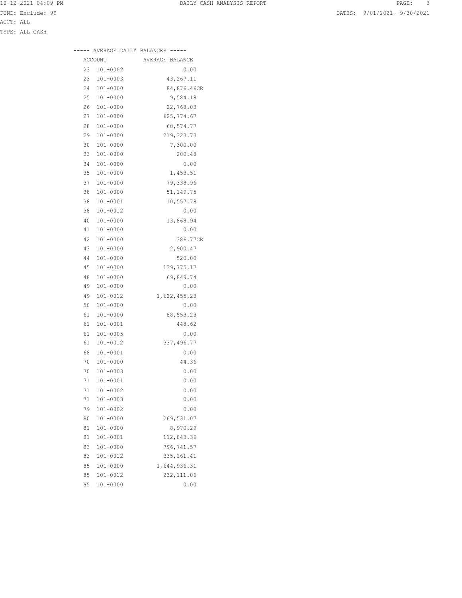|    |                | AVERAGE DAILY BALANCES ----- |
|----|----------------|------------------------------|
|    | <b>ACCOUNT</b> | AVERAGE BALANCE              |
| 23 | 101-0002       | 0.00                         |
| 23 | 101-0003       | 43,267.11                    |
| 24 | 101-0000       | 84,876.46CR                  |
| 25 | 101-0000       | 9,584.18                     |
| 26 | 101-0000       | 22,768.03                    |
| 27 | 101-0000       | 625,774.67                   |
| 28 | 101-0000       | 60,574.77                    |
| 29 | 101-0000       | 219, 323.73                  |
| 30 | 101-0000       | 7,300.00                     |
| 33 | 101-0000       | 200.48                       |
| 34 | 101-0000       | 0.00                         |
| 35 | 101-0000       | 1,453.51                     |
| 37 | 101-0000       | 79,338.96                    |
| 38 | 101-0000       | 51,149.75                    |
| 38 | 101-0001       | 10,557.78                    |
| 38 | 101-0012       | 0.00                         |
| 40 | 101-0000       | 13,868.94                    |
| 41 | 101-0000       | 0.00                         |
| 42 | 101-0000       | 386.77CR                     |
| 43 | 101-0000       | 2,900.47                     |
| 44 | 101-0000       | 520.00                       |
| 45 | 101-0000       | 139,775.17                   |
| 48 | 101-0000       | 69,849.74                    |
| 49 | $101 - 0000$   | 0.00                         |
| 49 | 101-0012       | 1,622,455.23                 |
| 50 | 101-0000       | 0.00                         |
| 61 | 101-0000       | 88,553.23                    |
| 61 | 101-0001       | 448.62                       |
| 61 | 101-0005       | 0.00                         |
| 61 | 101-0012       | 337,496.77                   |
| 68 | 101-0001       | 0.00                         |

 70 101-0000 44.36 70 101-0003 0.00 71 101-0001 0.00 71 101-0002 0.00 71 101-0003 0.00 79 101-0002 0.00 80 101-0000 269,531.07 81 101-0000 8,970.29 81 101-0001 112,843.36 83 101-0000 796,741.57 83 101-0012 335,261.41 85 101-0000 1,644,936.31 85 101-0012 232,111.06 95 101-0000 0.00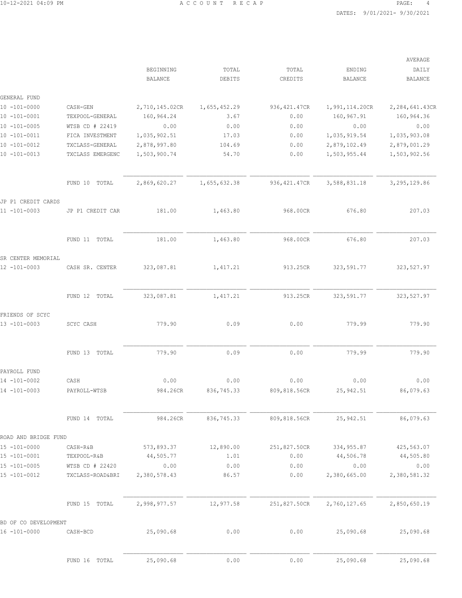|                                    |                  |                |              |               |                | AVERAGE        |
|------------------------------------|------------------|----------------|--------------|---------------|----------------|----------------|
|                                    |                  | BEGINNING      | TOTAL        | TOTAL         | ENDING         | DAILY          |
|                                    |                  | BALANCE        | DEBITS       | CREDITS       | <b>BALANCE</b> | <b>BALANCE</b> |
| GENERAL FUND                       |                  |                |              |               |                |                |
| $10 - 101 - 0000$                  | CASH-GEN         | 2,710,145.02CR | 1,655,452.29 | 936, 421.47CR | 1,991,114.20CR | 2,284,641.43CR |
| $10 - 101 - 0001$                  | TEXPOOL-GENERAL  | 160,964.24     | 3.67         | 0.00          | 160,967.91     | 160,964.36     |
| $10 - 101 - 0005$                  | WTSB CD # 22419  | 0.00           | 0.00         | 0.00          | 0.00           | 0.00           |
| $10 - 101 - 0011$                  | FICA INVESTMENT  | 1,035,902.51   | 17.03        | 0.00          | 1,035,919.54   | 1,035,903.08   |
| $10 - 101 - 0012$                  | TXCLASS-GENERAL  | 2,878,997.80   | 104.69       | 0.00          | 2,879,102.49   | 2,879,001.29   |
| $10 - 101 - 0013$                  | TXCLASS EMERGENC | 1,503,900.74   | 54.70        | 0.00          | 1,503,955.44   | 1,503,902.56   |
|                                    | FUND 10 TOTAL    | 2,869,620.27   | 1,655,632.38 | 936, 421.47CR | 3,588,831.18   | 3, 295, 129.86 |
| JP P1 CREDIT CARDS                 |                  |                |              |               |                |                |
| 11 -101-0003                       | JP P1 CREDIT CAR | 181.00         | 1,463.80     | 968.00CR      | 676.80         | 207.03         |
|                                    | FUND 11 TOTAL    | 181.00         | 1,463.80     | 968.00CR      | 676.80         | 207.03         |
|                                    |                  |                |              |               |                |                |
| SR CENTER MEMORIAL<br>12 -101-0003 | CASH SR. CENTER  | 323,087.81     | 1,417.21     | 913.25CR      | 323, 591.77    | 323, 527.97    |
|                                    | FUND 12 TOTAL    | 323,087.81     | 1,417.21     | 913.25CR      | 323, 591.77    | 323, 527.97    |
| FRIENDS OF SCYC<br>13 -101-0003    | SCYC CASH        | 779.90         | 0.09         | 0.00          | 779.99         | 779.90         |
|                                    | FUND 13 TOTAL    | 779.90         | 0.09         | 0.00          | 779.99         | 779.90         |
| PAYROLL FUND                       |                  |                |              |               |                |                |
| 14 -101-0002                       | CASH             | 0.00           | 0.00         | 0.00          | 0.00           | 0.00           |
| 14 -101-0003                       | PAYROLL-WTSB     | 984.26CR       | 836,745.33   | 809,818.56CR  | 25, 942.51     | 86,079.63      |
|                                    | FUND 14 TOTAL    | 984.26CR       | 836,745.33   | 809,818.56CR  | 25, 942.51     | 86,079.63      |
| ROAD AND BRIDGE FUND               |                  |                |              |               |                |                |
| 15 -101-0000                       | CASH-R&B         | 573,893.37     | 12,890.00    | 251,827.50CR  | 334, 955.87    | 425,563.07     |
| $15 - 101 - 0001$                  | TEXPOOL-R&B      | 44,505.77      | 1.01         | 0.00          | 44,506.78      | 44,505.80      |
| $15 - 101 - 0005$                  | WTSB CD # 22420  | 0.00           | 0.00         | 0.00          | 0.00           | 0.00           |
| $15 - 101 - 0012$                  | TXCLASS-ROAD&BRI | 2,380,578.43   | 86.57        | 0.00          | 2,380,665.00   | 2,380,581.32   |
|                                    | FUND 15 TOTAL    | 2,998,977.57   | 12,977.58    | 251,827.50CR  | 2,760,127.65   | 2,850,650.19   |
| BD OF CO DEVELOPMENT               |                  |                |              |               |                |                |
| 16 -101-0000                       | CASH-BCD         | 25,090.68      | 0.00         | 0.00          | 25,090.68      | 25,090.68      |
|                                    | FUND 16 TOTAL    | 25,090.68      | 0.00         | 0.00          | 25,090.68      | 25,090.68      |
|                                    |                  |                |              |               |                |                |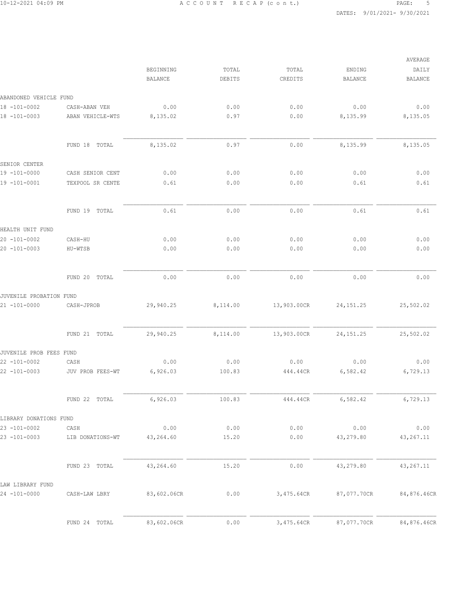|                         |                  |                                    |                 |                  |                          | AVERAGE                 |
|-------------------------|------------------|------------------------------------|-----------------|------------------|--------------------------|-------------------------|
|                         |                  | <b>BEGINNING</b><br><b>BALANCE</b> | TOTAL<br>DEBITS | TOTAL<br>CREDITS | ENDING<br><b>BALANCE</b> | DAILY<br><b>BALANCE</b> |
| ABANDONED VEHICLE FUND  |                  |                                    |                 |                  |                          |                         |
| $18 - 101 - 0002$       | CASH-ABAN VEH    | 0.00                               | 0.00            | 0.00             | 0.00                     | 0.00                    |
| 18 -101-0003            | ABAN VEHICLE-WTS | 8,135.02                           | 0.97            | 0.00             | 8,135.99                 | 8,135.05                |
|                         | FUND 18<br>TOTAL | 8,135.02                           | 0.97            | 0.00             | 8,135.99                 | 8,135.05                |
| SENIOR CENTER           |                  |                                    |                 |                  |                          |                         |
| 19 -101-0000            | CASH SENIOR CENT | 0.00                               | 0.00            | 0.00             | 0.00                     | 0.00                    |
| 19 -101-0001            | TEXPOOL SR CENTE | 0.61                               | 0.00            | 0.00             | 0.61                     | 0.61                    |
|                         | FUND 19<br>TOTAL | 0.61                               | 0.00            | 0.00             | 0.61                     | 0.61                    |
| HEALTH UNIT FUND        |                  |                                    |                 |                  |                          |                         |
| $20 - 101 - 0002$       | CASH-HU          | 0.00                               | 0.00            | 0.00             | 0.00                     | 0.00                    |
| $20 - 101 - 0003$       | HU-WTSB          | 0.00                               | 0.00            | 0.00             | 0.00                     | 0.00                    |
|                         | FUND 20<br>TOTAL | 0.00                               | 0.00            | 0.00             | 0.00                     | 0.00                    |
| JUVENILE PROBATION FUND |                  |                                    |                 |                  |                          |                         |
| $21 - 101 - 0000$       | CASH-JPROB       | 29,940.25                          | 8,114.00        | 13,903.00CR      | 24, 151.25               | 25,502.02               |
|                         | FUND 21 TOTAL    | 29,940.25                          | 8,114.00        | 13,903.00CR      | 24, 151.25               | 25,502.02               |
| JUVENILE PROB FEES FUND |                  |                                    |                 |                  |                          |                         |
| $22 - 101 - 0002$       | CASH             | 0.00                               | 0.00            | 0.00             | 0.00                     | 0.00                    |
| $22 - 101 - 0003$       | JUV PROB FEES-WT | 6,926.03                           | 100.83          | 444.44CR         | 6,582.42                 | 6,729.13                |
|                         | FUND 22 TOTAL    | 6,926.03                           | 100.83          | 444.44CR         | 6,582.42                 | 6,729.13                |
| LIBRARY DONATIONS FUND  |                  |                                    |                 |                  |                          |                         |
| $23 - 101 - 0002$       | CASH             | 0.00                               | 0.00            | 0.00             | 0.00                     | 0.00                    |
| $23 - 101 - 0003$       | LIB DONATIONS-WT | 43,264.60                          | 15.20           | 0.00             | 43,279.80                | 43, 267. 11             |
|                         | FUND 23 TOTAL    | 43,264.60                          | 15.20           | 0.00             | 43,279.80                | 43, 267. 11             |
| LAW LIBRARY FUND        |                  |                                    |                 |                  |                          |                         |
| 24 -101-0000            | CASH-LAW LBRY    | 83,602.06CR                        | 0.00            | 3,475.64CR       | 87,077.70CR              | 84,876.46CR             |
|                         | FUND 24 TOTAL    | 83,602.06CR                        | 0.00            | 3,475.64CR       | 87,077.70CR              | 84,876.46CR             |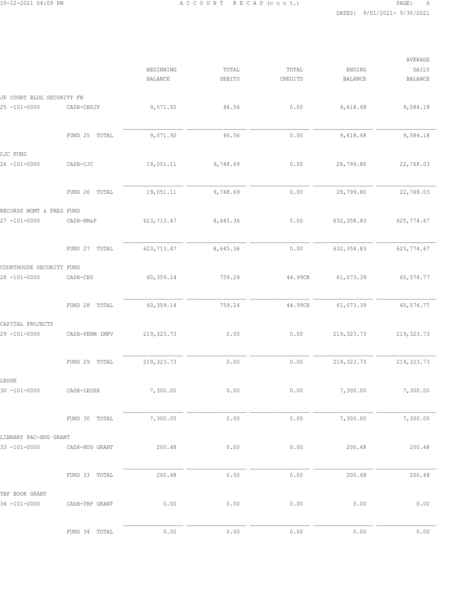|                           |                  |                             |                 |                  |                          | AVERAGE                 |
|---------------------------|------------------|-----------------------------|-----------------|------------------|--------------------------|-------------------------|
|                           |                  | BEGINNING<br><b>BALANCE</b> | TOTAL<br>DEBITS | TOTAL<br>CREDITS | ENDING<br><b>BALANCE</b> | DAILY<br><b>BALANCE</b> |
| JP COURT BLDG SECURITY FN |                  |                             |                 |                  |                          |                         |
| 25 -101-0000              | CASH-CHSJP       | 9,571.92                    | 46.56           | 0.00             | 9,618.48                 | 9,584.18                |
|                           | FUND 25<br>TOTAL | 9,571.92                    | 46.56           | 0.00             | 9,618.48                 | 9,584.18                |
| CJC FUND                  |                  |                             |                 |                  |                          |                         |
| $26 - 101 - 0000$         | CASH-CJC         | 19,051.11                   | 9,748.69        | 0.00             | 28,799.80                | 22,768.03               |
|                           | FUND 26 TOTAL    | 19,051.11                   | 9,748.69        | 0.00             | 28,799.80                | 22,768.03               |
| RECORDS MGMT & PRES FUND  |                  |                             |                 |                  |                          |                         |
| $27 - 101 - 0000$         | CASH-RM&P        | 623, 713.47                 | 8,645.36        | 0.00             | 632, 358.83              | 625,774.67              |
|                           | FUND 27<br>TOTAL | 623, 713.47                 | 8,645.36        | 0.00             | 632, 358.83              | 625, 774.67             |
| COURTHOUSE SECURITY FUND  |                  |                             |                 |                  |                          |                         |
| $28 - 101 - 0000$         | CASH-CHS         | 60,359.14                   | 759.24          | 44.99CR          | 61,073.39                | 60, 574.77              |
|                           | FUND 28<br>TOTAL | 60,359.14                   | 759.24          | 44.99CR          | 61,073.39                | 60, 574.77              |
| CAPITAL PROJECTS          |                  |                             |                 |                  |                          |                         |
| 29 -101-0000              | CASH-PERM IMPV   | 219, 323.73                 | 0.00            | 0.00             | 219, 323.73              | 219, 323.73             |
|                           | FUND 29 TOTAL    | 219, 323.73                 | 0.00            | 0.00             | 219, 323.73              | 219, 323.73             |
| LEOSE                     |                  |                             |                 |                  |                          |                         |
| 30 -101-0000              | CASH-LEOSE       | 7,300.00                    | 0.00            | 0.00             | 7,300.00                 | 7,300.00                |
|                           | FUND 30 TOTAL    | 7,300.00                    | 0.00            | 0.00             | 7,300.00                 | 7,300.00                |
| LIBRARY PAC-HUG GRANT     |                  |                             |                 |                  |                          |                         |
| 33 -101-0000              | CASH-HUG GRANT   | 200.48                      | 0.00            | 0.00             | 200.48                   | 200.48                  |
|                           | FUND 33 TOTAL    | 200.48                      | 0.00            | 0.00             | 200.48                   | 200.48                  |
| TBF BOOK GRANT            |                  |                             |                 |                  |                          |                         |
| 34 -101-0000              | CASH-TBF GRANT   | 0.00                        | 0.00            | 0.00             | 0.00                     | 0.00                    |
|                           | FUND 34 TOTAL    | 0.00                        | 0.00            | 0.00             | 0.00                     | 0.00                    |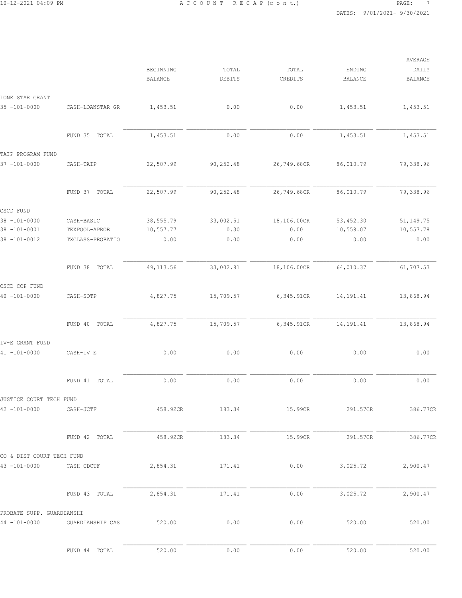|                           |                  | BEGINNING<br><b>BALANCE</b> | TOTAL<br>DEBITS | TOTAL<br>CREDITS | ENDING<br><b>BALANCE</b> | AVERAGE<br>DAILY<br><b>BALANCE</b> |
|---------------------------|------------------|-----------------------------|-----------------|------------------|--------------------------|------------------------------------|
| LONE STAR GRANT           |                  |                             |                 |                  |                          |                                    |
| $35 - 101 - 0000$         | CASH-LOANSTAR GR | 1,453.51                    | 0.00            | 0.00             | 1,453.51                 | 1,453.51                           |
|                           | FUND 35 TOTAL    | 1,453.51                    | 0.00            | 0.00             | 1,453.51                 | 1,453.51                           |
| TAIP PROGRAM FUND         |                  |                             |                 |                  |                          |                                    |
| $37 - 101 - 0000$         | CASH-TAIP        | 22,507.99                   | 90,252.48       | 26,749.68CR      | 86,010.79                | 79,338.96                          |
|                           | FUND 37 TOTAL    | 22,507.99                   | 90,252.48       | 26,749.68CR      | 86,010.79                | 79,338.96                          |
| CSCD FUND                 |                  |                             |                 |                  |                          |                                    |
| $38 - 101 - 0000$         | CASH-BASIC       | 38,555.79                   | 33,002.51       | 18,106.00CR      | 53, 452.30               | 51, 149. 75                        |
| $38 - 101 - 0001$         | TEXPOOL-APROB    | 10,557.77                   | 0.30            | 0.00             | 10,558.07                | 10,557.78                          |
| 38 -101-0012              | TXCLASS-PROBATIO | 0.00                        | 0.00            | 0.00             | 0.00                     | 0.00                               |
|                           | FUND 38 TOTAL    | 49, 113.56                  | 33,002.81       | 18,106.00CR      | 64,010.37                | 61,707.53                          |
| CSCD CCP FUND             |                  |                             |                 |                  |                          |                                    |
| $40 - 101 - 0000$         | CASH-SOTP        | 4,827.75                    | 15,709.57       | 6,345.91CR       | 14, 191.41               | 13,868.94                          |
|                           | FUND 40 TOTAL    | 4,827.75                    | 15,709.57       | 6,345.91CR       | 14, 191.41               | 13,868.94                          |
| IV-E GRANT FUND           |                  |                             |                 |                  |                          |                                    |
| $41 - 101 - 0000$         | CASH-IV E        | 0.00                        | 0.00            | 0.00             | 0.00                     | 0.00                               |
|                           | FUND 41 TOTAL    | 0.00                        | 0.00            | 0.00             | 0.00                     | 0.00                               |
| JUSTICE COURT TECH FUND   |                  |                             |                 |                  |                          |                                    |
| $42 - 101 - 0000$         | CASH-JCTF        | 458.92CR                    | 183.34          | 15.99CR          | 291.57CR                 | 386.77CR                           |
|                           | FUND 42 TOTAL    | 458.92CR                    | 183.34          | 15.99CR          | 291.57CR                 | 386.77CR                           |
| CO & DIST COURT TECH FUND |                  |                             |                 |                  |                          |                                    |
| $43 - 101 - 0000$         | CASH CDCTF       | 2,854.31                    | 171.41          | 0.00             | 3,025.72                 | 2,900.47                           |
|                           | FUND 43 TOTAL    | 2,854.31                    | 171.41          | 0.00             | 3,025.72                 | 2,900.47                           |
| PROBATE SUPP. GUARDIANSHI |                  |                             |                 |                  |                          |                                    |
| $44 - 101 - 0000$         | GUARDIANSHIP CAS | 520.00                      | 0.00            | 0.00             | 520.00                   | 520.00                             |
|                           | FUND 44 TOTAL    | 520.00                      | 0.00            | 0.00             | 520.00                   | 520.00                             |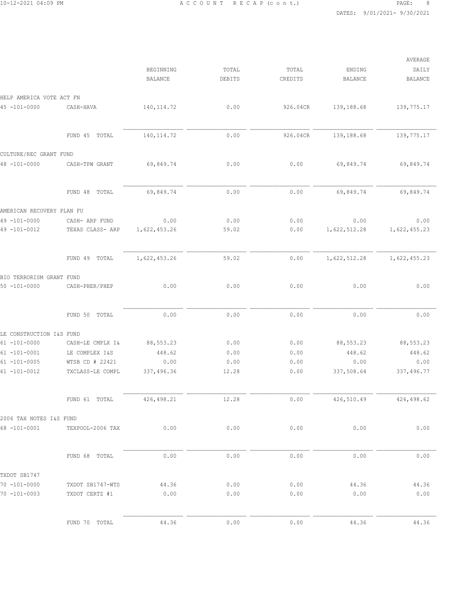|                                        |                                     |                             |                 |                  |                          | AVERAGE                 |
|----------------------------------------|-------------------------------------|-----------------------------|-----------------|------------------|--------------------------|-------------------------|
|                                        |                                     | BEGINNING<br><b>BALANCE</b> | TOTAL<br>DEBITS | TOTAL<br>CREDITS | ENDING<br><b>BALANCE</b> | DAILY<br><b>BALANCE</b> |
| HELP AMERICA VOTE ACT FN               |                                     |                             |                 |                  |                          |                         |
| $45 - 101 - 0000$                      | CASH-HAVA                           | 140, 114.72                 | 0.00            | 926.04CR         | 139,188.68               | 139,775.17              |
|                                        | FUND 45 TOTAL                       | 140, 114.72                 | 0.00            | 926.04CR         | 139,188.68               | 139,775.17              |
| CULTURE/REC GRANT FUND                 |                                     |                             |                 |                  |                          |                         |
| $48 - 101 - 0000$                      | CASH-TPW GRANT                      | 69,849.74                   | 0.00            | 0.00             | 69,849.74                | 69,849.74               |
|                                        | FUND 48 TOTAL                       | 69,849.74                   | 0.00            | 0.00             | 69,849.74                | 69,849.74               |
| AMERICAN RECOVERY PLAN FU              |                                     |                             |                 |                  |                          |                         |
| $49 - 101 - 0000$<br>49 -101-0012      | CASH- ARP FUND<br>TEXAS CLASS- ARP  | 0.00<br>1,622,453.26        | 0.00<br>59.02   | 0.00<br>0.00     | 0.00<br>1,622,512.28     | 0.00<br>1,622,455.23    |
|                                        | FUND 49 TOTAL                       | 1,622,453.26                | 59.02           | 0.00             | 1,622,512.28             | 1,622,455.23            |
| BIO TERRORISM GRANT FUND               |                                     |                             |                 |                  |                          |                         |
| $50 - 101 - 0000$                      | CASH-PHER/PHEP                      | 0.00                        | 0.00            | 0.00             | 0.00                     | 0.00                    |
|                                        | FUND 50 TOTAL                       | 0.00                        | 0.00            | 0.00             | 0.00                     | 0.00                    |
| LE CONSTRUCTION I&S FUND               |                                     |                             |                 |                  |                          |                         |
| $61 - 101 - 0000$                      | CASH-LE CMPLX I&                    | 88,553.23                   | 0.00            | 0.00             | 88, 553.23               | 88,553.23               |
| $61 - 101 - 0001$                      | LE COMPLEX I&S                      | 448.62                      | 0.00            | 0.00             | 448.62                   | 448.62                  |
| $61 - 101 - 0005$<br>$61 - 101 - 0012$ | WTSB CD # 22421<br>TXCLASS-LE COMPL | 0.00<br>337,496.36          | 0.00<br>12.28   | 0.00<br>0.00     | 0.00<br>337,508.64       | 0.00<br>337,496.77      |
|                                        |                                     |                             |                 |                  |                          |                         |
|                                        | FUND 61 TOTAL                       | 426, 498.21                 | 12.28           | 0.00             | 426,510.49               | 426,498.62              |
| 2006 TAX NOTES I&S FUND                |                                     |                             |                 |                  |                          |                         |
| $68 - 101 - 0001$                      | TEXPOOL-2006 TAX                    | 0.00                        | 0.00            | 0.00             | 0.00                     | 0.00                    |
|                                        | FUND 68 TOTAL                       | 0.00                        | 0.00            | 0.00             | 0.00                     | 0.00                    |
| TXDOT SB1747                           |                                     |                             |                 |                  |                          |                         |
| $70 - 101 - 0000$                      | TXDOT SB1747-WTS                    | 44.36                       | 0.00            | 0.00             | 44.36                    | 44.36                   |
| $70 - 101 - 0003$                      | TXDOT CERTZ #1                      | 0.00                        | 0.00            | 0.00             | 0.00                     | 0.00                    |
|                                        | FUND 70 TOTAL                       | 44.36                       | 0.00            | 0.00             | 44.36                    | 44.36                   |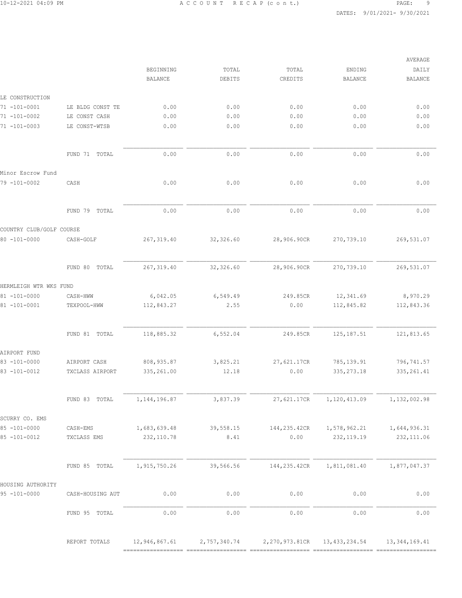|                  | BEGINNING                                                                                                        | TOTAL                                                              |                                                            |                                                                    |                                                                   |
|------------------|------------------------------------------------------------------------------------------------------------------|--------------------------------------------------------------------|------------------------------------------------------------|--------------------------------------------------------------------|-------------------------------------------------------------------|
|                  |                                                                                                                  |                                                                    | TOTAL                                                      | ENDING                                                             | DAILY                                                             |
|                  | <b>BALANCE</b>                                                                                                   | DEBITS                                                             | CREDITS                                                    | <b>BALANCE</b>                                                     | <b>BALANCE</b>                                                    |
|                  |                                                                                                                  |                                                                    |                                                            |                                                                    |                                                                   |
|                  |                                                                                                                  |                                                                    |                                                            |                                                                    | 0.00                                                              |
|                  |                                                                                                                  |                                                                    |                                                            |                                                                    | 0.00                                                              |
| LE CONST-WTSB    |                                                                                                                  |                                                                    |                                                            |                                                                    | 0.00                                                              |
|                  |                                                                                                                  |                                                                    |                                                            |                                                                    |                                                                   |
| FUND 71 TOTAL    | 0.00                                                                                                             | 0.00                                                               | 0.00                                                       | 0.00                                                               | 0.00                                                              |
|                  |                                                                                                                  |                                                                    |                                                            |                                                                    |                                                                   |
| CASH             | 0.00                                                                                                             | 0.00                                                               | 0.00                                                       | 0.00                                                               | 0.00                                                              |
| FUND 79<br>TOTAL | 0.00                                                                                                             | 0.00                                                               | 0.00                                                       | 0.00                                                               | 0.00                                                              |
|                  |                                                                                                                  |                                                                    |                                                            |                                                                    |                                                                   |
|                  |                                                                                                                  |                                                                    |                                                            |                                                                    |                                                                   |
|                  |                                                                                                                  |                                                                    |                                                            |                                                                    | 269,531.07                                                        |
| FUND 80<br>TOTAL | 267, 319.40                                                                                                      | 32,326.60                                                          | 28,906.90CR                                                | 270,739.10                                                         | 269,531.07                                                        |
|                  |                                                                                                                  |                                                                    |                                                            |                                                                    |                                                                   |
| CASH-HWW         | 6,042.05                                                                                                         | 6,549.49                                                           | 249.85CR                                                   | 12,341.69                                                          | 8,970.29                                                          |
| TEXPOOL-HWW      | 112,843.27                                                                                                       | 2.55                                                               | 0.00                                                       | 112,845.82                                                         | 112,843.36                                                        |
| FUND 81 TOTAL    | 118,885.32                                                                                                       | 6,552.04                                                           | 249.85CR                                                   | 125, 187.51                                                        | 121,813.65                                                        |
|                  |                                                                                                                  |                                                                    |                                                            |                                                                    |                                                                   |
| AIRPORT CASH     |                                                                                                                  |                                                                    |                                                            |                                                                    | 796,741.57                                                        |
| TXCLASS AIRPORT  | 335,261.00                                                                                                       | 12.18                                                              | 0.00                                                       | 335, 273.18                                                        | 335, 261.41                                                       |
|                  |                                                                                                                  |                                                                    |                                                            |                                                                    |                                                                   |
| FUND 83 TOTAL    | 1, 144, 196.87                                                                                                   | 3,837.39                                                           | 27,621.17CR                                                | 1,120,413.09                                                       | 1,132,002.98                                                      |
|                  |                                                                                                                  |                                                                    |                                                            |                                                                    |                                                                   |
|                  |                                                                                                                  |                                                                    |                                                            |                                                                    | 1,644,936.31                                                      |
| TXCLASS EMS      | 232, 110.78                                                                                                      | 8.41                                                               | 0.00                                                       | 232, 119.19                                                        | 232, 111.06                                                       |
|                  |                                                                                                                  |                                                                    |                                                            |                                                                    |                                                                   |
| FUND 85 TOTAL    | 1,915,750.26                                                                                                     | 39,566.56                                                          | 144,235.42CR                                               | 1,811,081.40                                                       | 1,877,047.37                                                      |
|                  |                                                                                                                  |                                                                    |                                                            |                                                                    |                                                                   |
| CASH-HOUSING AUT | 0.00                                                                                                             | 0.00                                                               | 0.00                                                       | 0.00                                                               | 0.00                                                              |
| FUND 95 TOTAL    | 0.00                                                                                                             | 0.00                                                               | 0.00                                                       | 0.00                                                               | 0.00                                                              |
| REPORT TOTALS    | 12,946,867.61                                                                                                    | 2,757,340.74                                                       | 2,270,973.81CR                                             | 13, 433, 234.54                                                    | 13, 344, 169. 41                                                  |
|                  | LE BLDG CONST TE<br>LE CONST CASH<br>COUNTRY CLUB/GOLF COURSE<br>CASH-GOLF<br>HERMLEIGH WTR WKS FUND<br>CASH-EMS | 0.00<br>0.00<br>0.00<br>267, 319.40<br>808, 935.87<br>1,683,639.48 | 0.00<br>0.00<br>0.00<br>32,326.60<br>3,825.21<br>39,558.15 | 0.00<br>0.00<br>0.00<br>28,906.90CR<br>27,621.17CR<br>144,235.42CR | 0.00<br>0.00<br>0.00<br>270,739.10<br>785, 139.91<br>1,578,962.21 |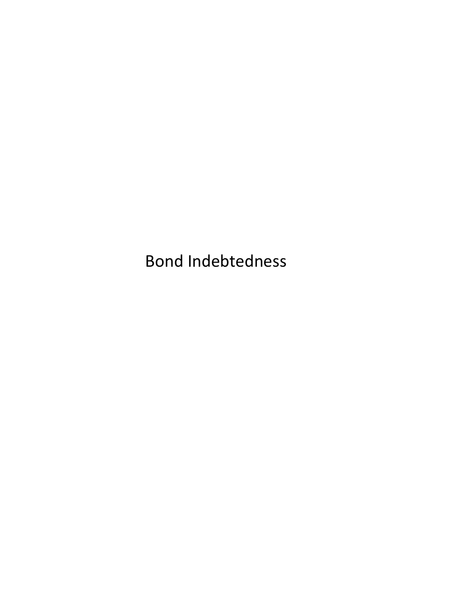Bond Indebtedness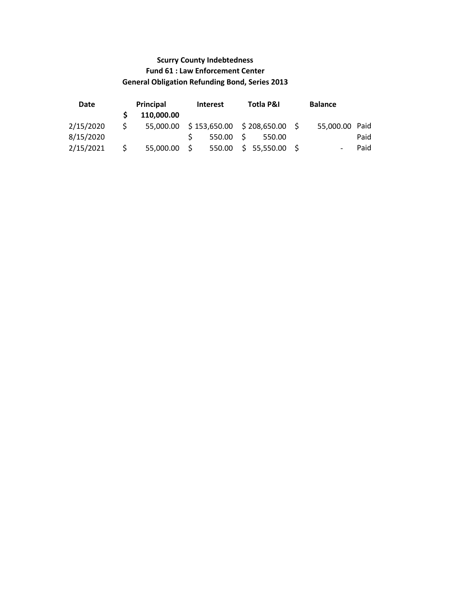# Scurry County Indebtedness Fund 61 : Law Enforcement Center General Obligation Refunding Bond, Series 2013

| Date      |    | Principal      | <b>Interest</b>   | Totla P&I                              | <b>Balance</b> |      |
|-----------|----|----------------|-------------------|----------------------------------------|----------------|------|
|           |    | 110,000.00     |                   |                                        |                |      |
| 2/15/2020 | S. |                |                   | 55,000.00 \$153,650.00 \$208,650.00 \$ | 55,000.00 Paid |      |
| 8/15/2020 |    |                | $550.00 \quad$ \$ | 550.00                                 |                | Paid |
| 2/15/2021 | S. | $55,000.00$ \$ | 550.00            | \$55,550.00\$                          |                | Paid |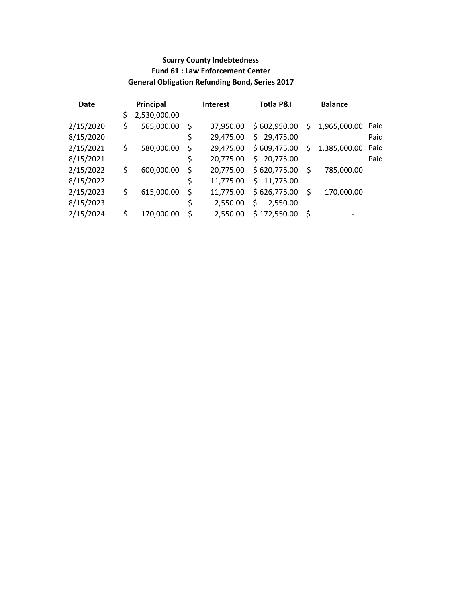# Scurry County Indebtedness Fund 61 : Law Enforcement Center General Obligation Refunding Bond, Series 2017

| Date      |    | Principal    | <b>Interest</b> | Totla P&I       |    | <b>Balance</b>           |      |
|-----------|----|--------------|-----------------|-----------------|----|--------------------------|------|
|           | \$ | 2,530,000.00 |                 |                 |    |                          |      |
| 2/15/2020 | \$ | 565,000.00   | \$<br>37,950.00 | \$602,950.00    | \$ | 1,965,000.00             | Paid |
| 8/15/2020 |    |              | \$<br>29,475.00 | \$29,475.00     |    |                          | Paid |
| 2/15/2021 | \$ | 580,000.00   | \$<br>29,475.00 | \$609,475.00    | Ś  | 1,385,000.00             | Paid |
| 8/15/2021 |    |              | \$<br>20,775.00 | \$<br>20,775.00 |    |                          | Paid |
| 2/15/2022 | \$ | 600,000.00   | \$<br>20,775.00 | \$620,775.00    | \$ | 785,000.00               |      |
| 8/15/2022 |    |              | \$<br>11,775.00 | \$11,775.00     |    |                          |      |
| 2/15/2023 | \$ | 615,000.00   | \$<br>11,775.00 | \$626,775.00    | S  | 170,000.00               |      |
| 8/15/2023 |    |              | \$<br>2,550.00  | \$<br>2,550.00  |    |                          |      |
| 2/15/2024 | Ś  | 170,000.00   | \$<br>2,550.00  | \$172,550.00    | \$ | $\overline{\phantom{a}}$ |      |